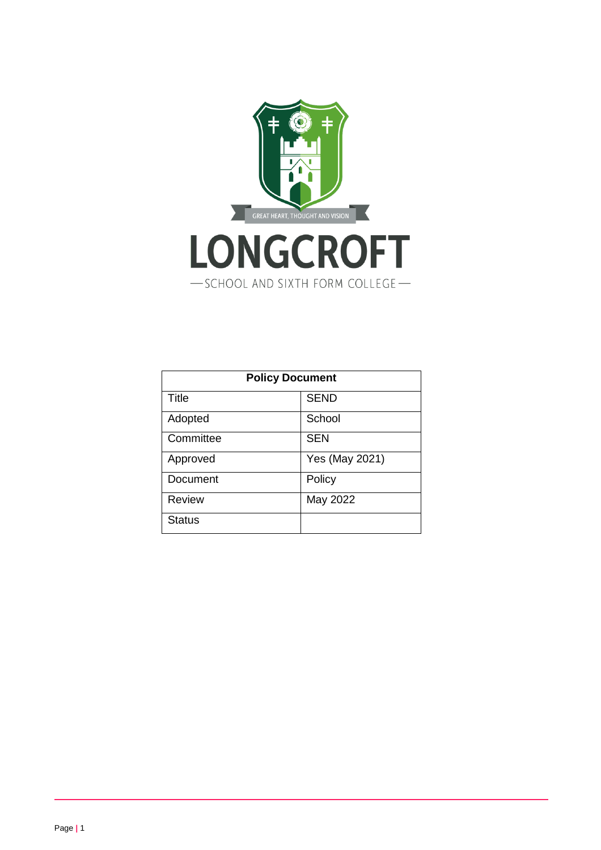

| <b>Policy Document</b> |                |  |
|------------------------|----------------|--|
| Title                  | <b>SEND</b>    |  |
| Adopted                | School         |  |
| Committee              | <b>SEN</b>     |  |
| Approved               | Yes (May 2021) |  |
| Document               | Policy         |  |
| <b>Review</b>          | May 2022       |  |
| <b>Status</b>          |                |  |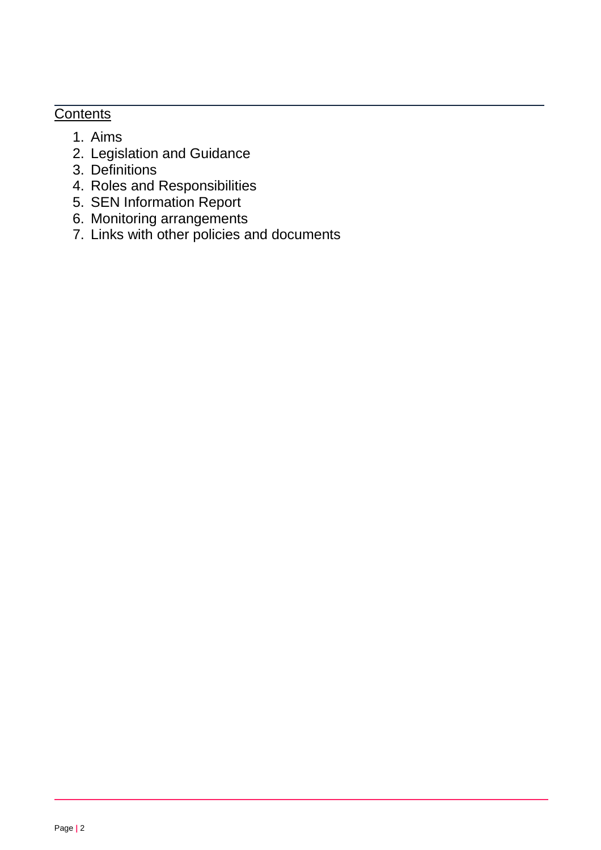# **Contents**

- 1. Aims
- 2. Legislation and Guidance
- 3. Definitions
- 4. Roles and Responsibilities
- 5. SEN Information Report
- 6. Monitoring arrangements
- 7. Links with other policies and documents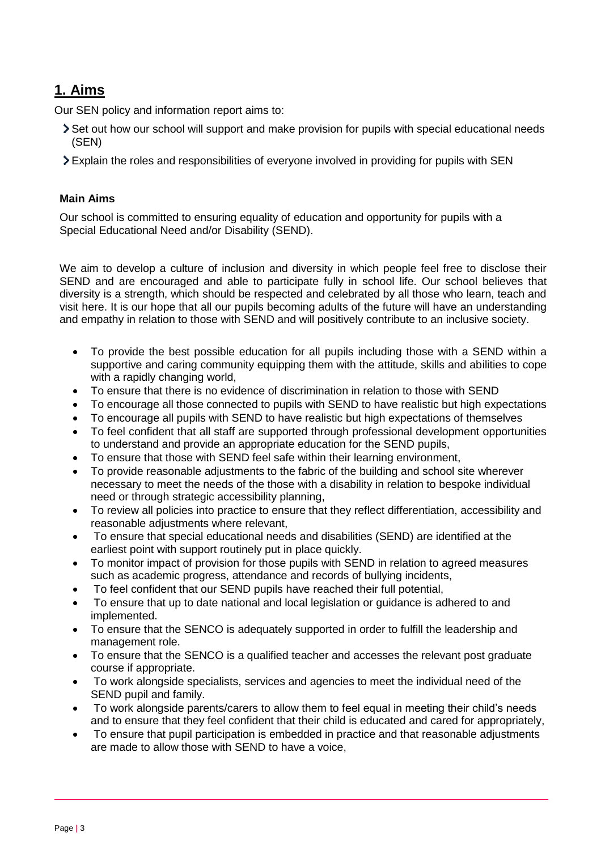# **1. Aims**

Our SEN policy and information report aims to:

- Set out how our school will support and make provision for pupils with special educational needs (SEN)
- Explain the roles and responsibilities of everyone involved in providing for pupils with SEN

## **Main Aims**

Our school is committed to ensuring equality of education and opportunity for pupils with a Special Educational Need and/or Disability (SEND).

We aim to develop a culture of inclusion and diversity in which people feel free to disclose their SEND and are encouraged and able to participate fully in school life. Our school believes that diversity is a strength, which should be respected and celebrated by all those who learn, teach and visit here. It is our hope that all our pupils becoming adults of the future will have an understanding and empathy in relation to those with SEND and will positively contribute to an inclusive society.

- To provide the best possible education for all pupils including those with a SEND within a supportive and caring community equipping them with the attitude, skills and abilities to cope with a rapidly changing world,
- To ensure that there is no evidence of discrimination in relation to those with SEND
- To encourage all those connected to pupils with SEND to have realistic but high expectations
- To encourage all pupils with SEND to have realistic but high expectations of themselves
- To feel confident that all staff are supported through professional development opportunities to understand and provide an appropriate education for the SEND pupils,
- To ensure that those with SEND feel safe within their learning environment,
- To provide reasonable adjustments to the fabric of the building and school site wherever necessary to meet the needs of the those with a disability in relation to bespoke individual need or through strategic accessibility planning,
- To review all policies into practice to ensure that they reflect differentiation, accessibility and reasonable adjustments where relevant,
- To ensure that special educational needs and disabilities (SEND) are identified at the earliest point with support routinely put in place quickly.
- To monitor impact of provision for those pupils with SEND in relation to agreed measures such as academic progress, attendance and records of bullying incidents,
- To feel confident that our SEND pupils have reached their full potential,
- To ensure that up to date national and local legislation or guidance is adhered to and implemented.
- To ensure that the SENCO is adequately supported in order to fulfill the leadership and management role.
- To ensure that the SENCO is a qualified teacher and accesses the relevant post graduate course if appropriate.
- To work alongside specialists, services and agencies to meet the individual need of the SEND pupil and family.
- To work alongside parents/carers to allow them to feel equal in meeting their child's needs and to ensure that they feel confident that their child is educated and cared for appropriately,
- To ensure that pupil participation is embedded in practice and that reasonable adjustments are made to allow those with SEND to have a voice,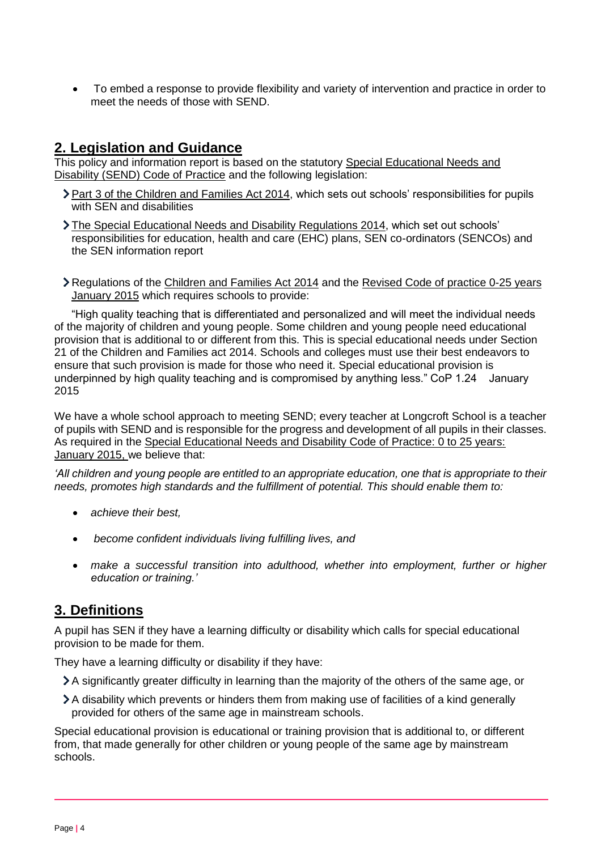• To embed a response to provide flexibility and variety of intervention and practice in order to meet the needs of those with SEND.

## **2. Legislation and Guidance**

This policy and information report is based on the statutory [Special Educational Needs and](https://www.gov.uk/government/uploads/system/uploads/attachment_data/file/398815/SEND_Code_of_Practice_January_2015.pdf)  [Disability \(SEND\) Code of Practice](https://www.gov.uk/government/uploads/system/uploads/attachment_data/file/398815/SEND_Code_of_Practice_January_2015.pdf) and the following legislation:

- [Part 3 of the Children and Families Act 2014,](http://www.legislation.gov.uk/ukpga/2014/6/part/3) which sets out schools' responsibilities for pupils with SEN and disabilities
- [The Special Educational Needs and Disability Regulations 2014,](http://www.legislation.gov.uk/uksi/2014/1530/contents/made) which set out schools' responsibilities for education, health and care (EHC) plans, SEN co-ordinators (SENCOs) and the SEN information report
- Regulations of the Children and Families Act 2014 and the Revised Code of practice 0-25 years January 2015 which requires schools to provide:

"High quality teaching that is differentiated and personalized and will meet the individual needs of the majority of children and young people. Some children and young people need educational provision that is additional to or different from this. This is special educational needs under Section 21 of the Children and Families act 2014. Schools and colleges must use their best endeavors to ensure that such provision is made for those who need it. Special educational provision is underpinned by high quality teaching and is compromised by anything less." CoP 1.24 January 2015

We have a whole school approach to meeting SEND; every teacher at Longcroft School is a teacher of pupils with SEND and is responsible for the progress and development of all pupils in their classes. As required in the Special Educational Needs and Disability Code of Practice: 0 to 25 years: January 2015, we believe that:

*'All children and young people are entitled to an appropriate education, one that is appropriate to their needs, promotes high standards and the fulfillment of potential. This should enable them to:*

- *achieve their best,*
- *become confident individuals living fulfilling lives, and*
- *make a successful transition into adulthood, whether into employment, further or higher education or training.'*

# **3. Definitions**

A pupil has SEN if they have a learning difficulty or disability which calls for special educational provision to be made for them.

They have a learning difficulty or disability if they have:

- A significantly greater difficulty in learning than the majority of the others of the same age, or
- A disability which prevents or hinders them from making use of facilities of a kind generally provided for others of the same age in mainstream schools.

Special educational provision is educational or training provision that is additional to, or different from, that made generally for other children or young people of the same age by mainstream schools.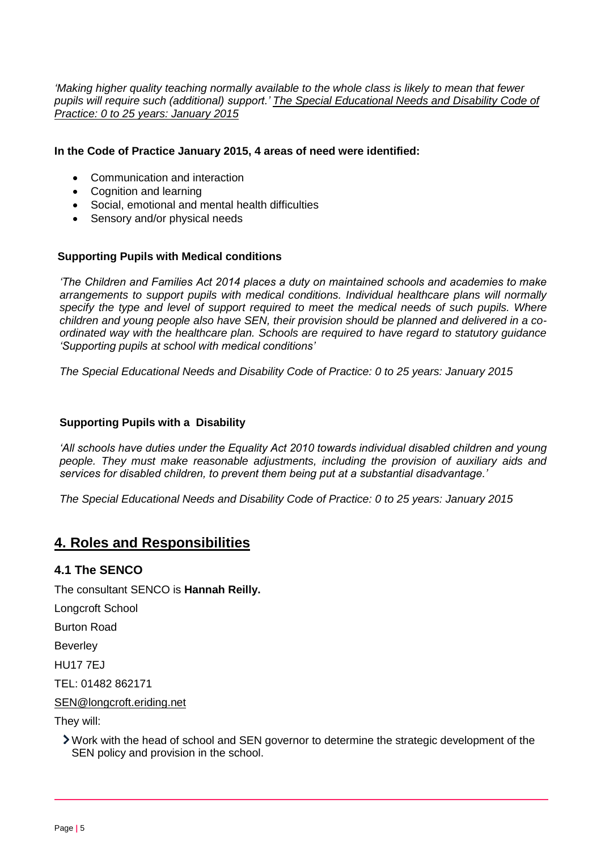*'Making higher quality teaching normally available to the whole class is likely to mean that fewer pupils will require such (additional) support.' The Special Educational Needs and Disability Code of Practice: 0 to 25 years: January 2015*

#### **In the Code of Practice January 2015, 4 areas of need were identified:**

- Communication and interaction
- Cognition and learning
- Social, emotional and mental health difficulties
- Sensory and/or physical needs

#### **Supporting Pupils with Medical conditions**

*'The Children and Families Act 2014 places a duty on maintained schools and academies to make arrangements to support pupils with medical conditions. Individual healthcare plans will normally specify the type and level of support required to meet the medical needs of such pupils. Where children and young people also have SEN, their provision should be planned and delivered in a coordinated way with the healthcare plan. Schools are required to have regard to statutory guidance 'Supporting pupils at school with medical conditions'*

*The Special Educational Needs and Disability Code of Practice: 0 to 25 years: January 2015*

#### **Supporting Pupils with a Disability**

*'All schools have duties under the Equality Act 2010 towards individual disabled children and young people. They must make reasonable adjustments, including the provision of auxiliary aids and services for disabled children, to prevent them being put at a substantial disadvantage.'*

*The Special Educational Needs and Disability Code of Practice: 0 to 25 years: January 2015*

## **4. Roles and Responsibilities**

#### **4.1 The SENCO**

The consultant SENCO is **Hannah Reilly.**

Longcroft School

Burton Road

Beverley

HU17 7EJ

TEL: 01482 862171

[SEN@longcroft.eriding.net](mailto:SEN@longcroft.eriding.net)

They will:

Work with the head of school and SEN governor to determine the strategic development of the SEN policy and provision in the school.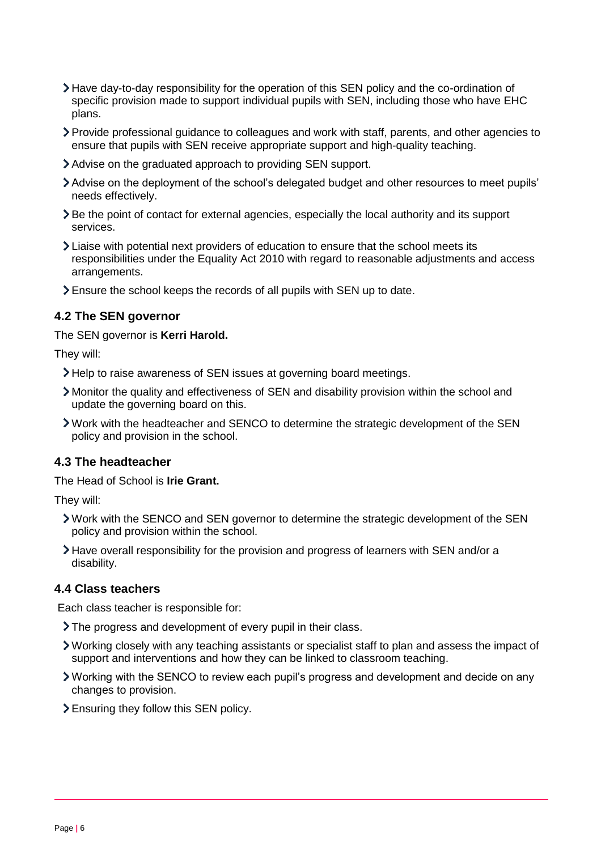- Have day-to-day responsibility for the operation of this SEN policy and the co-ordination of specific provision made to support individual pupils with SEN, including those who have EHC plans.
- Provide professional guidance to colleagues and work with staff, parents, and other agencies to ensure that pupils with SEN receive appropriate support and high-quality teaching.
- Advise on the graduated approach to providing SEN support.
- Advise on the deployment of the school's delegated budget and other resources to meet pupils' needs effectively.
- Be the point of contact for external agencies, especially the local authority and its support services.
- Liaise with potential next providers of education to ensure that the school meets its responsibilities under the Equality Act 2010 with regard to reasonable adjustments and access arrangements.
- Ensure the school keeps the records of all pupils with SEN up to date.

#### **4.2 The SEN governor**

The SEN governor is **Kerri Harold.**

They will:

- Help to raise awareness of SEN issues at governing board meetings.
- Monitor the quality and effectiveness of SEN and disability provision within the school and update the governing board on this.
- Work with the headteacher and SENCO to determine the strategic development of the SEN policy and provision in the school.

#### **4.3 The headteacher**

The Head of School is **Irie Grant.** 

They will:

- Work with the SENCO and SEN governor to determine the strategic development of the SEN policy and provision within the school.
- Have overall responsibility for the provision and progress of learners with SEN and/or a disability.

### **4.4 Class teachers**

Each class teacher is responsible for:

- The progress and development of every pupil in their class.
- Working closely with any teaching assistants or specialist staff to plan and assess the impact of support and interventions and how they can be linked to classroom teaching.
- Working with the SENCO to review each pupil's progress and development and decide on any changes to provision.
- Ensuring they follow this SEN policy.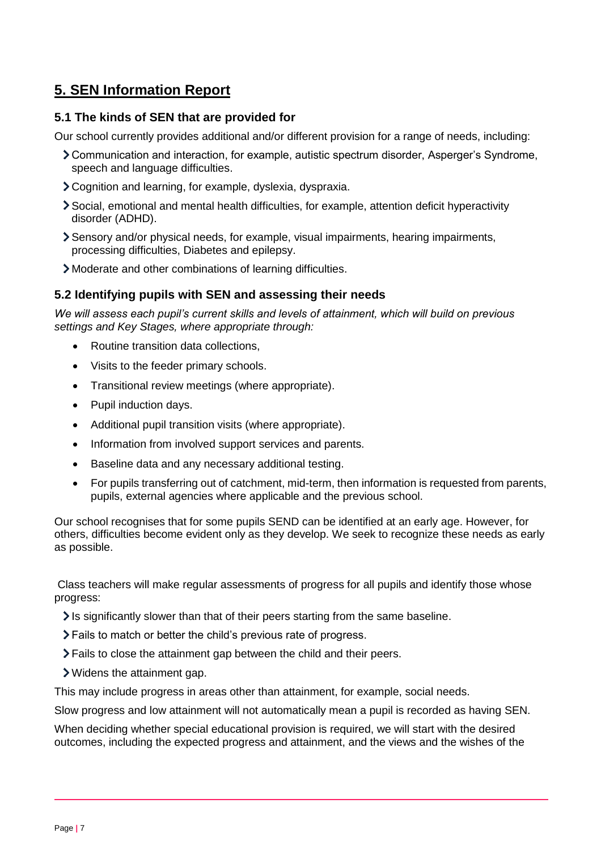# **5. SEN Information Report**

### **5.1 The kinds of SEN that are provided for**

Our school currently provides additional and/or different provision for a range of needs, including:

- Communication and interaction, for example, autistic spectrum disorder, Asperger's Syndrome, speech and language difficulties.
- Cognition and learning, for example, dyslexia, dyspraxia.
- Social, emotional and mental health difficulties, for example, attention deficit hyperactivity disorder (ADHD).
- Sensory and/or physical needs, for example, visual impairments, hearing impairments, processing difficulties, Diabetes and epilepsy.
- Moderate and other combinations of learning difficulties.

#### **5.2 Identifying pupils with SEN and assessing their needs**

*We will assess each pupil's current skills and levels of attainment, which will build on previous settings and Key Stages, where appropriate through:*

- Routine transition data collections,
- Visits to the feeder primary schools.
- Transitional review meetings (where appropriate).
- Pupil induction days.
- Additional pupil transition visits (where appropriate).
- Information from involved support services and parents.
- Baseline data and any necessary additional testing.
- For pupils transferring out of catchment, mid-term, then information is requested from parents, pupils, external agencies where applicable and the previous school.

Our school recognises that for some pupils SEND can be identified at an early age. However, for others, difficulties become evident only as they develop. We seek to recognize these needs as early as possible.

Class teachers will make regular assessments of progress for all pupils and identify those whose progress:

- $\ge$  Is significantly slower than that of their peers starting from the same baseline.
- Fails to match or better the child's previous rate of progress.
- Fails to close the attainment gap between the child and their peers.
- Widens the attainment gap.

This may include progress in areas other than attainment, for example, social needs.

Slow progress and low attainment will not automatically mean a pupil is recorded as having SEN.

When deciding whether special educational provision is required, we will start with the desired outcomes, including the expected progress and attainment, and the views and the wishes of the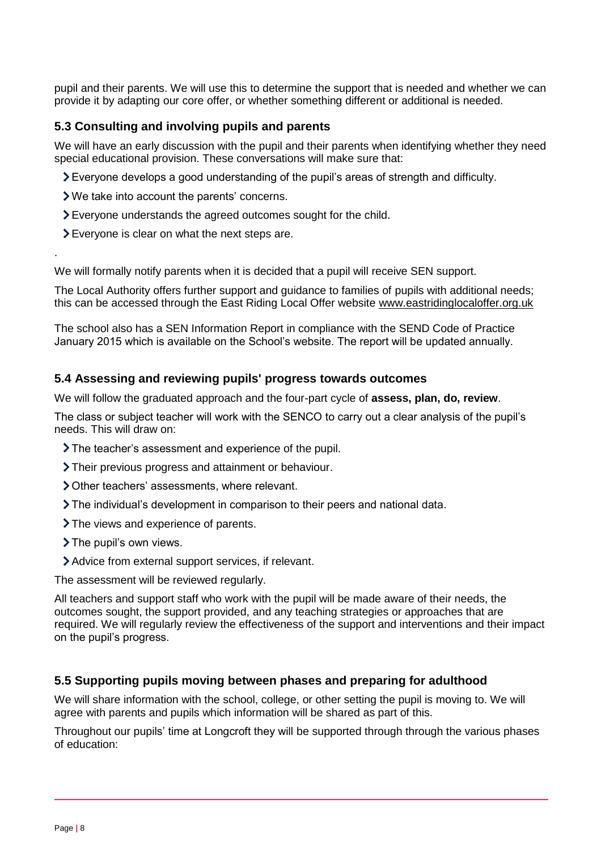pupil and their parents. We will use this to determine the support that is needed and whether we can provide it by adapting our core offer, or whether something different or additional is needed.

## **5.3 Consulting and involving pupils and parents**

We will have an early discussion with the pupil and their parents when identifying whether they need special educational provision. These conversations will make sure that:

- Everyone develops a good understanding of the pupil's areas of strength and difficulty.
- We take into account the parents' concerns.
- Everyone understands the agreed outcomes sought for the child.
- Everyone is clear on what the next steps are.

We will formally notify parents when it is decided that a pupil will receive SEN support.

The Local Authority offers further support and guidance to families of pupils with additional needs; this can be accessed through the East Riding Local Offer website [www.eastridinglocaloffer.org.uk](http://www.eastridinglocaloffer.org.uk/)

The school also has a SEN Information Report in compliance with the SEND Code of Practice January 2015 which is available on the School's website. The report will be updated annually.

## **5.4 Assessing and reviewing pupils' progress towards outcomes**

We will follow the graduated approach and the four-part cycle of **assess, plan, do, review**.

The class or subject teacher will work with the SENCO to carry out a clear analysis of the pupil's needs. This will draw on:

- The teacher's assessment and experience of the pupil.
- Their previous progress and attainment or behaviour.
- Other teachers' assessments, where relevant.
- The individual's development in comparison to their peers and national data.
- The views and experience of parents.
- > The pupil's own views.

.

Advice from external support services, if relevant.

The assessment will be reviewed regularly.

All teachers and support staff who work with the pupil will be made aware of their needs, the outcomes sought, the support provided, and any teaching strategies or approaches that are required. We will regularly review the effectiveness of the support and interventions and their impact on the pupil's progress.

## **5.5 Supporting pupils moving between phases and preparing for adulthood**

We will share information with the school, college, or other setting the pupil is moving to. We will agree with parents and pupils which information will be shared as part of this.

Throughout our pupils' time at Longcroft they will be supported through through the various phases of education: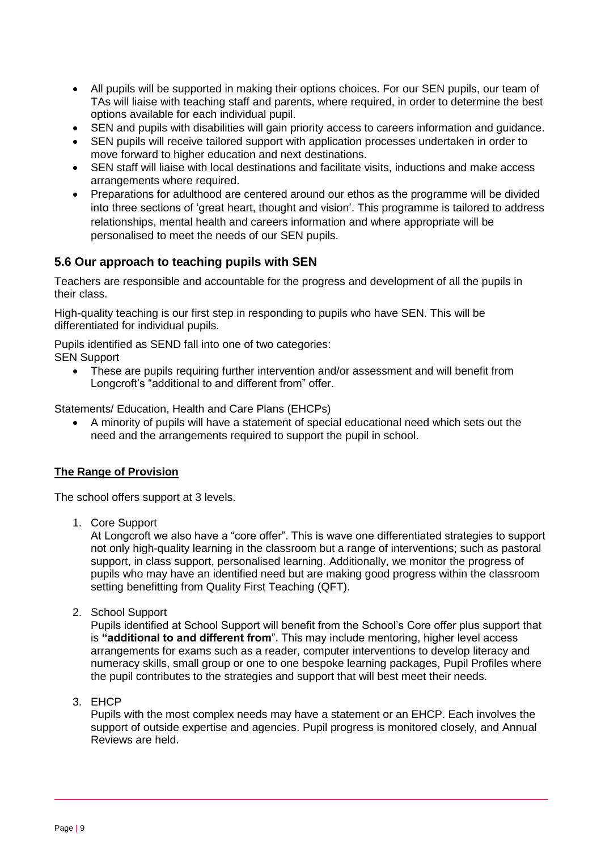- All pupils will be supported in making their options choices. For our SEN pupils, our team of TAs will liaise with teaching staff and parents, where required, in order to determine the best options available for each individual pupil.
- SEN and pupils with disabilities will gain priority access to careers information and guidance.
- SEN pupils will receive tailored support with application processes undertaken in order to move forward to higher education and next destinations.
- SEN staff will liaise with local destinations and facilitate visits, inductions and make access arrangements where required.
- Preparations for adulthood are centered around our ethos as the programme will be divided into three sections of 'great heart, thought and vision'. This programme is tailored to address relationships, mental health and careers information and where appropriate will be personalised to meet the needs of our SEN pupils.

## **5.6 Our approach to teaching pupils with SEN**

Teachers are responsible and accountable for the progress and development of all the pupils in their class.

High-quality teaching is our first step in responding to pupils who have SEN. This will be differentiated for individual pupils.

Pupils identified as SEND fall into one of two categories: SEN Support

• These are pupils requiring further intervention and/or assessment and will benefit from Longcroft's "additional to and different from" offer.

Statements/ Education, Health and Care Plans (EHCPs)

• A minority of pupils will have a statement of special educational need which sets out the need and the arrangements required to support the pupil in school.

## **The Range of Provision**

The school offers support at 3 levels.

1. Core Support

At Longcroft we also have a "core offer". This is wave one differentiated strategies to support not only high-quality learning in the classroom but a range of interventions; such as pastoral support, in class support, personalised learning. Additionally, we monitor the progress of pupils who may have an identified need but are making good progress within the classroom setting benefitting from Quality First Teaching (QFT).

2. School Support

Pupils identified at School Support will benefit from the School's Core offer plus support that is **"additional to and different from**". This may include mentoring, higher level access arrangements for exams such as a reader, computer interventions to develop literacy and numeracy skills, small group or one to one bespoke learning packages, Pupil Profiles where the pupil contributes to the strategies and support that will best meet their needs.

3. EHCP

Pupils with the most complex needs may have a statement or an EHCP. Each involves the support of outside expertise and agencies. Pupil progress is monitored closely, and Annual Reviews are held.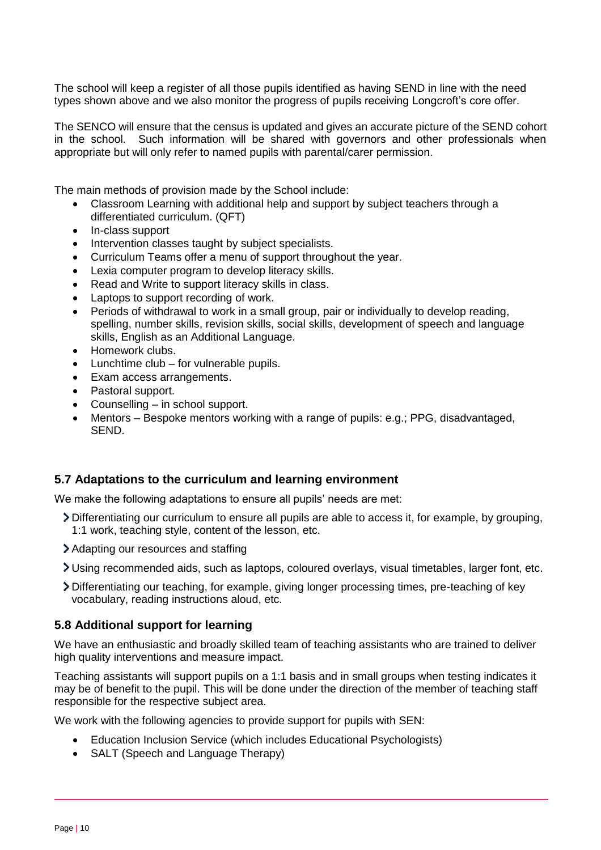The school will keep a register of all those pupils identified as having SEND in line with the need types shown above and we also monitor the progress of pupils receiving Longcroft's core offer.

The SENCO will ensure that the census is updated and gives an accurate picture of the SEND cohort in the school. Such information will be shared with governors and other professionals when appropriate but will only refer to named pupils with parental/carer permission.

The main methods of provision made by the School include:

- Classroom Learning with additional help and support by subject teachers through a differentiated curriculum. (QFT)
- In-class support
- Intervention classes taught by subject specialists.
- Curriculum Teams offer a menu of support throughout the year.
- Lexia computer program to develop literacy skills.
- Read and Write to support literacy skills in class.
- Laptops to support recording of work.
- Periods of withdrawal to work in a small group, pair or individually to develop reading, spelling, number skills, revision skills, social skills, development of speech and language skills, English as an Additional Language.
- Homework clubs.
- Lunchtime club for vulnerable pupils.
- Exam access arrangements.
- Pastoral support.
- Counselling in school support.
- Mentors Bespoke mentors working with a range of pupils: e.g.; PPG, disadvantaged, SEND.

#### **5.7 Adaptations to the curriculum and learning environment**

We make the following adaptations to ensure all pupils' needs are met:

- Differentiating our curriculum to ensure all pupils are able to access it, for example, by grouping, 1:1 work, teaching style, content of the lesson, etc.
- Adapting our resources and staffing
- Using recommended aids, such as laptops, coloured overlays, visual timetables, larger font, etc.
- Differentiating our teaching, for example, giving longer processing times, pre-teaching of key vocabulary, reading instructions aloud, etc.

#### **5.8 Additional support for learning**

We have an enthusiastic and broadly skilled team of teaching assistants who are trained to deliver high quality interventions and measure impact.

Teaching assistants will support pupils on a 1:1 basis and in small groups when testing indicates it may be of benefit to the pupil. This will be done under the direction of the member of teaching staff responsible for the respective subject area.

We work with the following agencies to provide support for pupils with SEN:

- Education Inclusion Service (which includes Educational Psychologists)
- SALT (Speech and Language Therapy)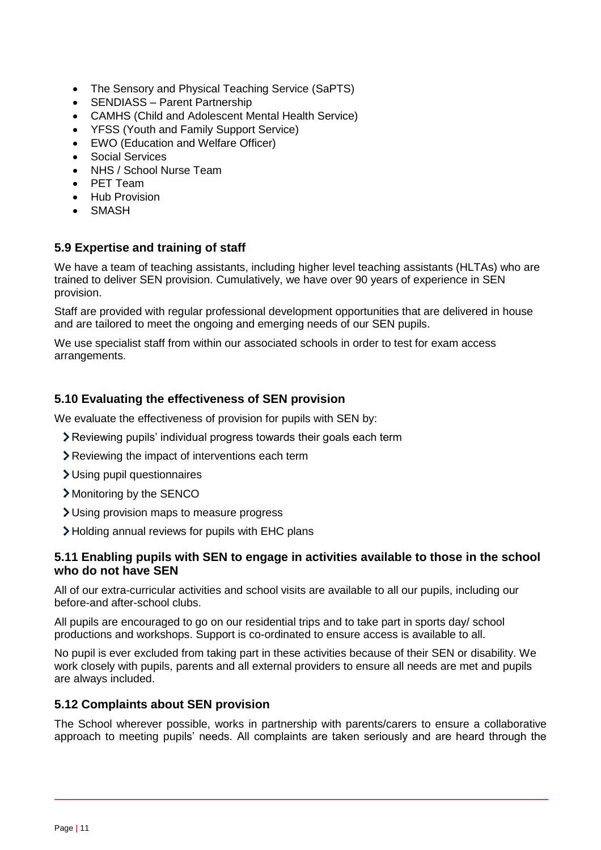- The Sensory and Physical Teaching Service (SaPTS)
- SENDIASS Parent Partnership
- CAMHS (Child and Adolescent Mental Health Service)
- YFSS (Youth and Family Support Service)
- EWO (Education and Welfare Officer)
- Social Services
- NHS / School Nurse Team
- PET Team
- Hub Provision
- SMASH

## **5.9 Expertise and training of staff**

We have a team of teaching assistants, including higher level teaching assistants (HLTAs) who are trained to deliver SEN provision. Cumulatively, we have over 90 years of experience in SEN provision.

Staff are provided with regular professional development opportunities that are delivered in house and are tailored to meet the ongoing and emerging needs of our SEN pupils.

We use specialist staff from within our associated schools in order to test for exam access arrangements.

## **5.10 Evaluating the effectiveness of SEN provision**

We evaluate the effectiveness of provision for pupils with SEN by:

- Reviewing pupils' individual progress towards their goals each term
- Reviewing the impact of interventions each term
- Using pupil questionnaires
- Monitoring by the SENCO
- Using provision maps to measure progress
- Holding annual reviews for pupils with EHC plans

#### **5.11 Enabling pupils with SEN to engage in activities available to those in the school who do not have SEN**

All of our extra-curricular activities and school visits are available to all our pupils, including our before-and after-school clubs.

All pupils are encouraged to go on our residential trips and to take part in sports day/ school productions and workshops. Support is co-ordinated to ensure access is available to all.

No pupil is ever excluded from taking part in these activities because of their SEN or disability. We work closely with pupils, parents and all external providers to ensure all needs are met and pupils are always included.

## **5.12 Complaints about SEN provision**

The School wherever possible, works in partnership with parents/carers to ensure a collaborative approach to meeting pupils' needs. All complaints are taken seriously and are heard through the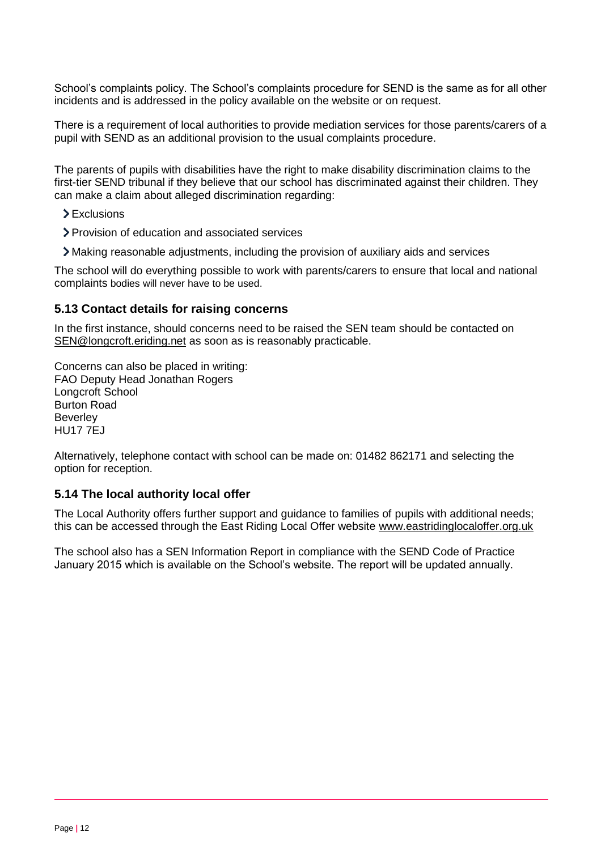School's complaints policy. The School's complaints procedure for SEND is the same as for all other incidents and is addressed in the policy available on the website or on request.

There is a requirement of local authorities to provide mediation services for those parents/carers of a pupil with SEND as an additional provision to the usual complaints procedure.

The parents of pupils with disabilities have the right to make disability discrimination claims to the first-tier SEND tribunal if they believe that our school has discriminated against their children. They can make a claim about alleged discrimination regarding:

- > Exclusions
- Provision of education and associated services
- Making reasonable adjustments, including the provision of auxiliary aids and services

The school will do everything possible to work with parents/carers to ensure that local and national complaints bodies will never have to be used.

#### **5.13 Contact details for raising concerns**

In the first instance, should concerns need to be raised the SEN team should be contacted on [SEN@longcroft.eriding.net](mailto:SEN@longcroft.eriding.net) as soon as is reasonably practicable.

Concerns can also be placed in writing: FAO Deputy Head Jonathan Rogers Longcroft School Burton Road **Beverley** HU17 7EJ

Alternatively, telephone contact with school can be made on: 01482 862171 and selecting the option for reception.

#### **5.14 The local authority local offer**

The Local Authority offers further support and guidance to families of pupils with additional needs; this can be accessed through the East Riding Local Offer website [www.eastridinglocaloffer.org.uk](http://www.eastridinglocaloffer.org.uk/)

The school also has a SEN Information Report in compliance with the SEND Code of Practice January 2015 which is available on the School's website. The report will be updated annually.